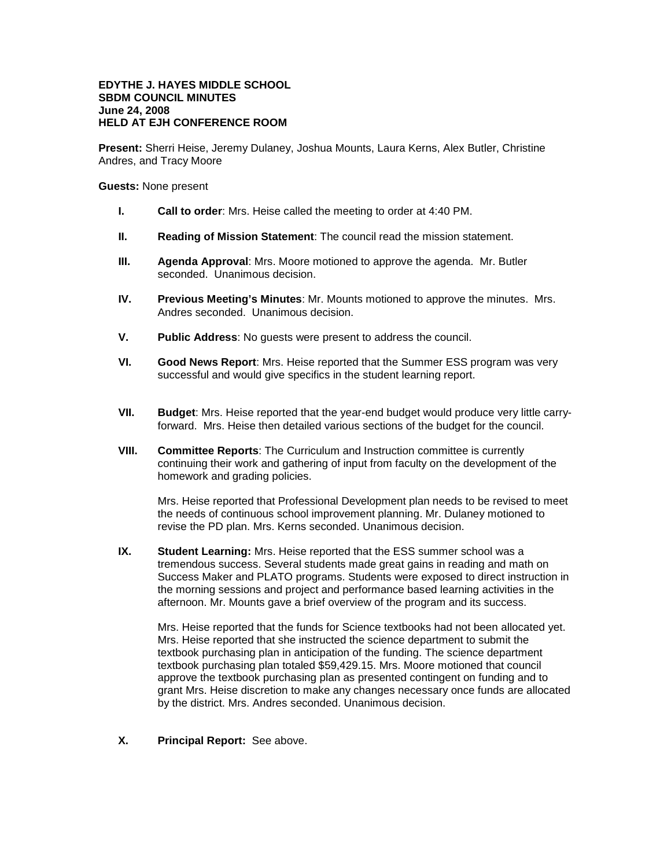## **EDYTHE J. HAYES MIDDLE SCHOOL SBDM COUNCIL MINUTES June 24, 2008 HELD AT EJH CONFERENCE ROOM**

**Present:** Sherri Heise, Jeremy Dulaney, Joshua Mounts, Laura Kerns, Alex Butler, Christine Andres, and Tracy Moore

**Guests:** None present

- **I. Call to order**: Mrs. Heise called the meeting to order at 4:40 PM.
- **II. Reading of Mission Statement**: The council read the mission statement.
- **III. Agenda Approval**: Mrs. Moore motioned to approve the agenda. Mr. Butler seconded. Unanimous decision.
- **IV. Previous Meeting's Minutes**: Mr. Mounts motioned to approve the minutes. Mrs. Andres seconded. Unanimous decision.
- **V. Public Address**: No guests were present to address the council.
- **VI. Good News Report**: Mrs. Heise reported that the Summer ESS program was very successful and would give specifics in the student learning report.
- **VII. Budget**: Mrs. Heise reported that the year-end budget would produce very little carryforward. Mrs. Heise then detailed various sections of the budget for the council.
- **VIII. Committee Reports**: The Curriculum and Instruction committee is currently continuing their work and gathering of input from faculty on the development of the homework and grading policies.

Mrs. Heise reported that Professional Development plan needs to be revised to meet the needs of continuous school improvement planning. Mr. Dulaney motioned to revise the PD plan. Mrs. Kerns seconded. Unanimous decision.

**IX. Student Learning:** Mrs. Heise reported that the ESS summer school was a tremendous success. Several students made great gains in reading and math on Success Maker and PLATO programs. Students were exposed to direct instruction in the morning sessions and project and performance based learning activities in the afternoon. Mr. Mounts gave a brief overview of the program and its success.

Mrs. Heise reported that the funds for Science textbooks had not been allocated yet. Mrs. Heise reported that she instructed the science department to submit the textbook purchasing plan in anticipation of the funding. The science department textbook purchasing plan totaled \$59,429.15. Mrs. Moore motioned that council approve the textbook purchasing plan as presented contingent on funding and to grant Mrs. Heise discretion to make any changes necessary once funds are allocated by the district. Mrs. Andres seconded. Unanimous decision.

**X. Principal Report:** See above.